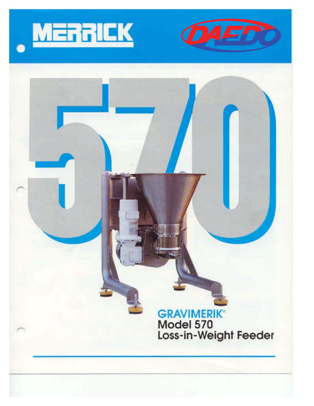



## GRAVIMERIK Model 570 Loss-in-Weighl Feeder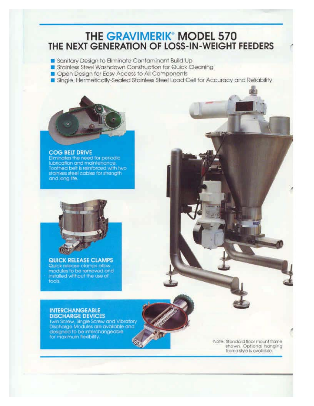### **THE GRAVIMERIK® MODEL 570** THE NEXT GENERATION OF LOSS-IN-WEIGHT FEEDERS

Sanitary Design to Eliminate Contaminant Build-Up

- Stainless Steel Washdown Construction for Quick Cleaning
- Open Design for Easy Access to All Components
- Single, Hermetically-Sealed Stainless Steel Load Cell for Accuracy and Reliability



#### **COG BELT DRIVE**

Eliminates the need for periodic lubrication and maintenance. Toothed belt is reinforced with two<br>stainless steel cables for strength<br>and long life.



**QUICK RELEASE CLAMPS** Quick release clamps allow<br>modules to be removed and<br>installed without the use of tools.

#### **INTERCHANGEABLE DISCHARGE DEVICES**

Twin Screw, Single Screw and Vibratory<br>Discharge Modules are available and designed to be interchangeable for maximum flexibility.

Note: Standard floor mount frame shown. Optional hanging frame style is available.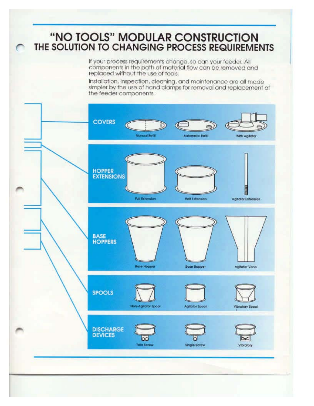# "NO TOOLS" MODULAR CONSTRUCTION<br>THE SOLUTION TO CHANGING PROCESS REQUIREMENTS

If your process requirements change, so can your feeder. All components in the path of material flow can be removed and replaced without the use of tools.

Installation, inspection, cleaning, and maintenance are all made simpler by the use of hand clamps for removal and replacement of the feeder components.